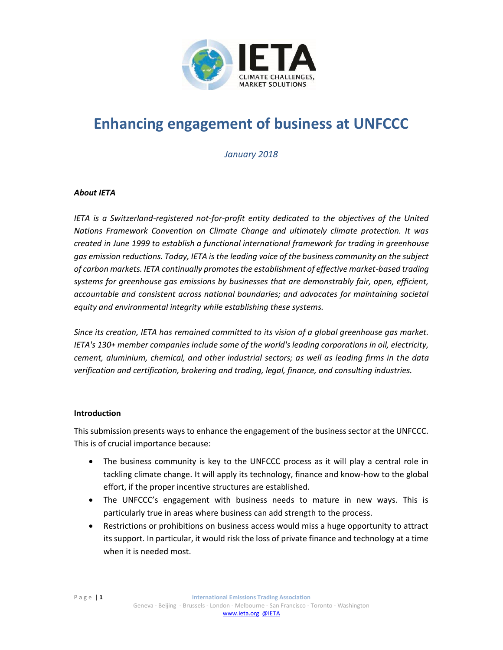

# **Enhancing engagement of business at UNFCCC**

*January 2018*

#### *About IETA*

*IETA is a Switzerland-registered not-for-profit entity dedicated to the objectives of the United Nations Framework Convention on Climate Change and ultimately climate protection. It was created in June 1999 to establish a functional international framework for trading in greenhouse gas emission reductions. Today, IETA is the leading voice of the business community on the subject of carbon markets. IETA continually promotes the establishment of effective market-based trading systems for greenhouse gas emissions by businesses that are demonstrably fair, open, efficient, accountable and consistent across national boundaries; and advocates for maintaining societal equity and environmental integrity while establishing these systems.* 

*Since its creation, IETA has remained committed to its vision of a global greenhouse gas market. IETA's 130+ member companies include some of the world's leading corporations in oil, electricity, cement, aluminium, chemical, and other industrial sectors; as well as leading firms in the data verification and certification, brokering and trading, legal, finance, and consulting industries.*

#### **Introduction**

This submission presents ways to enhance the engagement of the business sector at the UNFCCC. This is of crucial importance because:

- The business community is key to the UNFCCC process as it will play a central role in tackling climate change. It will apply its technology, finance and know-how to the global effort, if the proper incentive structures are established.
- The UNFCCC's engagement with business needs to mature in new ways. This is particularly true in areas where business can add strength to the process.
- Restrictions or prohibitions on business access would miss a huge opportunity to attract its support. In particular, it would risk the loss of private finance and technology at a time when it is needed most.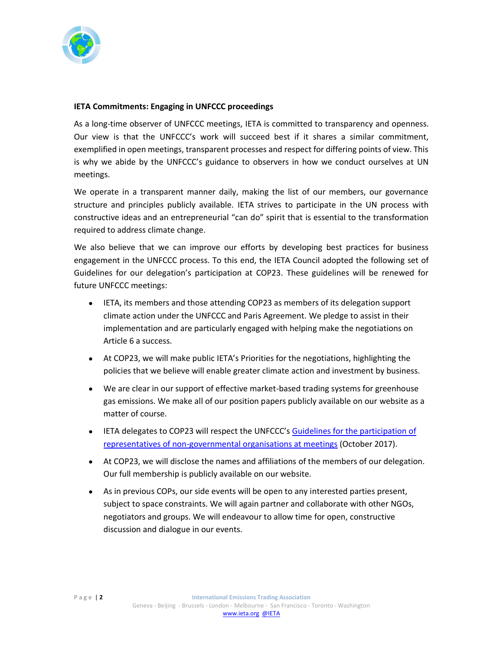

## **IETA Commitments: Engaging in UNFCCC proceedings**

As a long-time observer of UNFCCC meetings, IETA is committed to transparency and openness. Our view is that the UNFCCC's work will succeed best if it shares a similar commitment, exemplified in open meetings, transparent processes and respect for differing points of view. This is why we abide by the UNFCCC's guidance to observers in how we conduct ourselves at UN meetings.

We operate in a transparent manner daily, making the list of our members, our governance structure and principles publicly available. IETA strives to participate in the UN process with constructive ideas and an entrepreneurial "can do" spirit that is essential to the transformation required to address climate change.

We also believe that we can improve our efforts by developing best practices for business engagement in the UNFCCC process. To this end, the IETA Council adopted the following set of Guidelines for our delegation's participation at COP23. These guidelines will be renewed for future UNFCCC meetings:

- IETA, its members and those attending COP23 as members of its delegation support climate action under the UNFCCC and Paris Agreement. We pledge to assist in their implementation and are particularly engaged with helping make the negotiations on Article 6 a success.
- At COP23, we will make public IETA's Priorities for the negotiations, highlighting the policies that we believe will enable greater climate action and investment by business.
- We are clear in our support of effective market-based trading systems for greenhouse gas emissions. We make all of our position papers publicly available on our website as a matter of course.
- IETA delegates to COP23 will respect the UNFCCC's [Guidelines for the participation of](https://unfccc.int/files/parties_and_observers/ngo/application/pdf/coc_guide.pdf)  [representatives of non-governmental organisations at meetings](https://unfccc.int/files/parties_and_observers/ngo/application/pdf/coc_guide.pdf) (October 2017).
- At COP23, we will disclose the names and affiliations of the members of our delegation. Our full membership is publicly available on our website.
- As in previous COPs, our side events will be open to any interested parties present, subject to space constraints. We will again partner and collaborate with other NGOs, negotiators and groups. We will endeavour to allow time for open, constructive discussion and dialogue in our events.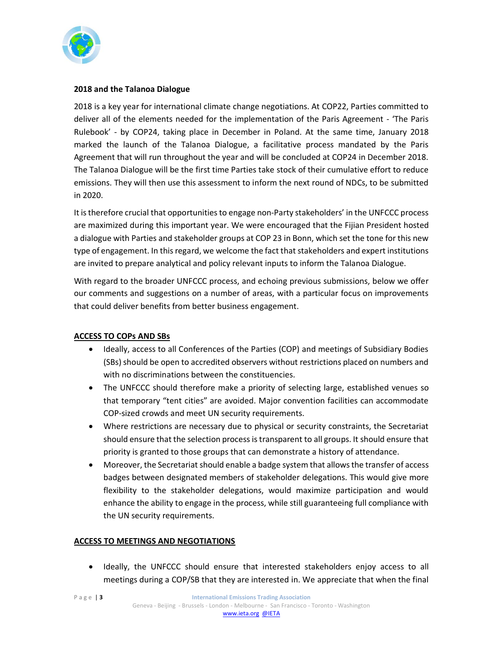

## **2018 and the Talanoa Dialogue**

2018 is a key year for international climate change negotiations. At COP22, Parties committed to deliver all of the elements needed for the implementation of the Paris Agreement - 'The Paris Rulebook' - by COP24, taking place in December in Poland. At the same time, January 2018 marked the launch of the Talanoa Dialogue, a facilitative process mandated by the Paris Agreement that will run throughout the year and will be concluded at COP24 in December 2018. The Talanoa Dialogue will be the first time Parties take stock of their cumulative effort to reduce emissions. They will then use this assessment to inform the next round of NDCs, to be submitted in 2020.

It is therefore crucial that opportunities to engage non-Party stakeholders' in the UNFCCC process are maximized during this important year. We were encouraged that the Fijian President hosted a dialogue with Parties and stakeholder groups at COP 23 in Bonn, which set the tone for this new type of engagement. In this regard, we welcome the fact that stakeholders and expert institutions are invited to prepare analytical and policy relevant inputs to inform the Talanoa Dialogue.

With regard to the broader UNFCCC process, and echoing previous submissions, below we offer our comments and suggestions on a number of areas, with a particular focus on improvements that could deliver benefits from better business engagement.

## **ACCESS TO COPs AND SBs**

- Ideally, access to all Conferences of the Parties (COP) and meetings of Subsidiary Bodies (SBs) should be open to accredited observers without restrictions placed on numbers and with no discriminations between the constituencies.
- The UNFCCC should therefore make a priority of selecting large, established venues so that temporary "tent cities" are avoided. Major convention facilities can accommodate COP-sized crowds and meet UN security requirements.
- Where restrictions are necessary due to physical or security constraints, the Secretariat should ensure that the selection process is transparent to all groups. It should ensure that priority is granted to those groups that can demonstrate a history of attendance.
- Moreover, the Secretariat should enable a badge system that allows the transfer of access badges between designated members of stakeholder delegations. This would give more flexibility to the stakeholder delegations, would maximize participation and would enhance the ability to engage in the process, while still guaranteeing full compliance with the UN security requirements.

## **ACCESS TO MEETINGS AND NEGOTIATIONS**

• Ideally, the UNFCCC should ensure that interested stakeholders enjoy access to all meetings during a COP/SB that they are interested in. We appreciate that when the final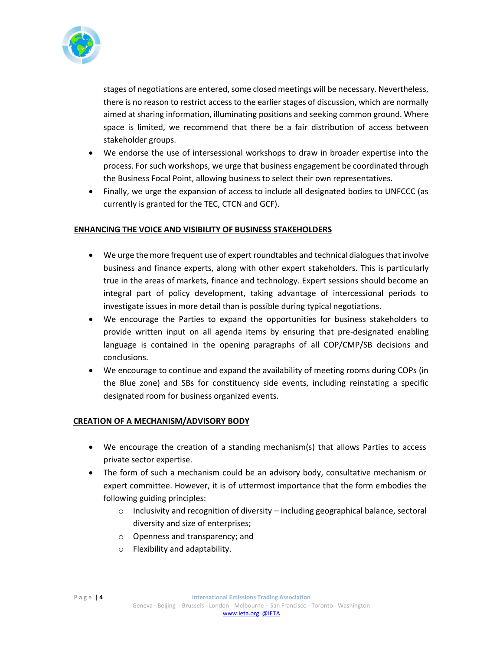

stages of negotiations are entered, some closed meetings will be necessary. Nevertheless, there is no reason to restrict access to the earlier stages of discussion, which are normally aimed at sharing information, illuminating positions and seeking common ground. Where space is limited, we recommend that there be a fair distribution of access between stakeholder groups.

- We endorse the use of intersessional workshops to draw in broader expertise into the process. For such workshops, we urge that business engagement be coordinated through the Business Focal Point, allowing business to select their own representatives.
- Finally, we urge the expansion of access to include all designated bodies to UNFCCC (as currently is granted for the TEC, CTCN and GCF).

#### **ENHANCING THE VOICE AND VISIBILITY OF BUSINESS STAKEHOLDERS**

- We urge the more frequent use of expert roundtables and technical dialogues that involve business and finance experts, along with other expert stakeholders. This is particularly true in the areas of markets, finance and technology. Expert sessions should become an integral part of policy development, taking advantage of intercessional periods to investigate issues in more detail than is possible during typical negotiations.
- We encourage the Parties to expand the opportunities for business stakeholders to provide written input on all agenda items by ensuring that pre-designated enabling language is contained in the opening paragraphs of all COP/CMP/SB decisions and conclusions.
- We encourage to continue and expand the availability of meeting rooms during COPs (in the Blue zone) and SBs for constituency side events, including reinstating a specific designated room for business organized events.

#### **CREATION OF A MECHANISM/ADVISORY BODY**

- We encourage the creation of a standing mechanism(s) that allows Parties to access private sector expertise.
- The form of such a mechanism could be an advisory body, consultative mechanism or expert committee. However, it is of uttermost importance that the form embodies the following guiding principles:
	- $\circ$  Inclusivity and recognition of diversity including geographical balance, sectoral diversity and size of enterprises;
	- o Openness and transparency; and
	- o Flexibility and adaptability.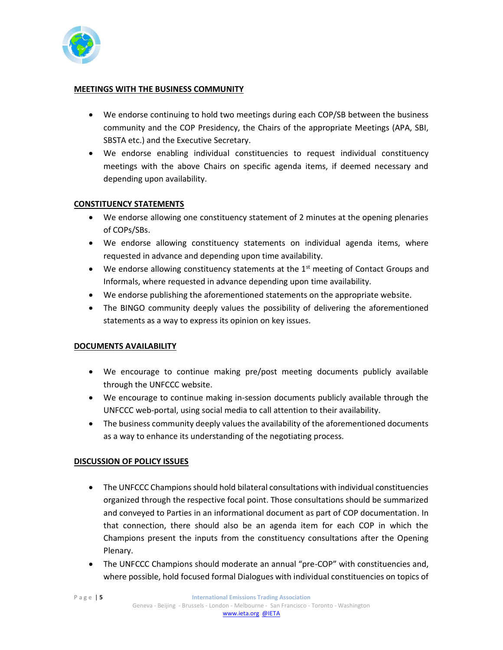

#### **MEETINGS WITH THE BUSINESS COMMUNITY**

- We endorse continuing to hold two meetings during each COP/SB between the business community and the COP Presidency, the Chairs of the appropriate Meetings (APA, SBI, SBSTA etc.) and the Executive Secretary.
- We endorse enabling individual constituencies to request individual constituency meetings with the above Chairs on specific agenda items, if deemed necessary and depending upon availability.

## **CONSTITUENCY STATEMENTS**

- We endorse allowing one constituency statement of 2 minutes at the opening plenaries of COPs/SBs.
- We endorse allowing constituency statements on individual agenda items, where requested in advance and depending upon time availability.
- We endorse allowing constituency statements at the  $1<sup>st</sup>$  meeting of Contact Groups and Informals, where requested in advance depending upon time availability.
- We endorse publishing the aforementioned statements on the appropriate website.
- The BINGO community deeply values the possibility of delivering the aforementioned statements as a way to express its opinion on key issues.

#### **DOCUMENTS AVAILABILITY**

- We encourage to continue making pre/post meeting documents publicly available through the UNFCCC website.
- We encourage to continue making in-session documents publicly available through the UNFCCC web-portal, using social media to call attention to their availability.
- The business community deeply values the availability of the aforementioned documents as a way to enhance its understanding of the negotiating process.

## **DISCUSSION OF POLICY ISSUES**

- The UNFCCC Champions should hold bilateral consultations with individual constituencies organized through the respective focal point. Those consultations should be summarized and conveyed to Parties in an informational document as part of COP documentation. In that connection, there should also be an agenda item for each COP in which the Champions present the inputs from the constituency consultations after the Opening Plenary.
- The UNFCCC Champions should moderate an annual "pre-COP" with constituencies and, where possible, hold focused formal Dialogues with individual constituencies on topics of